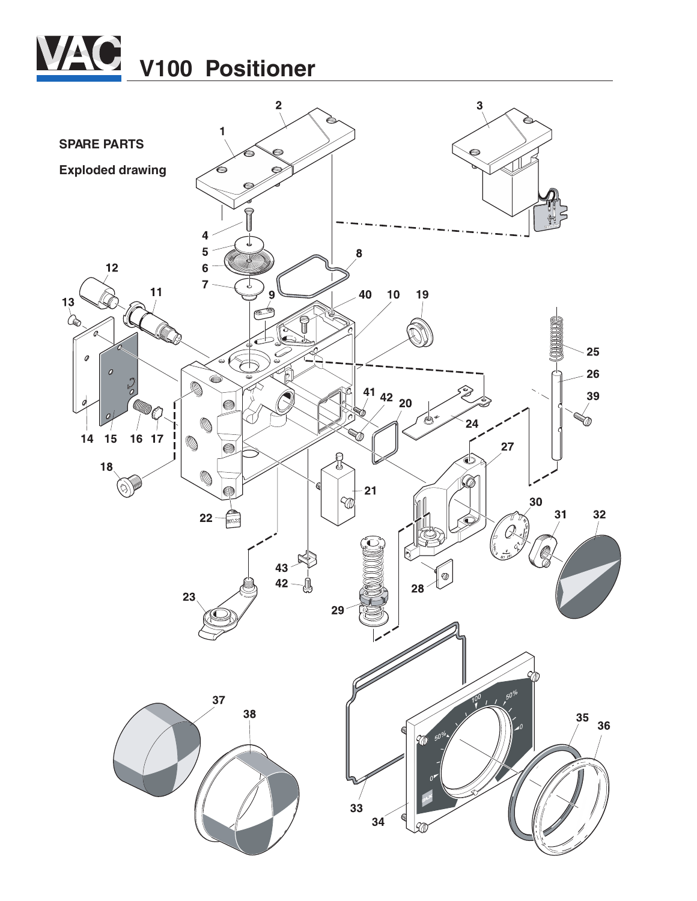

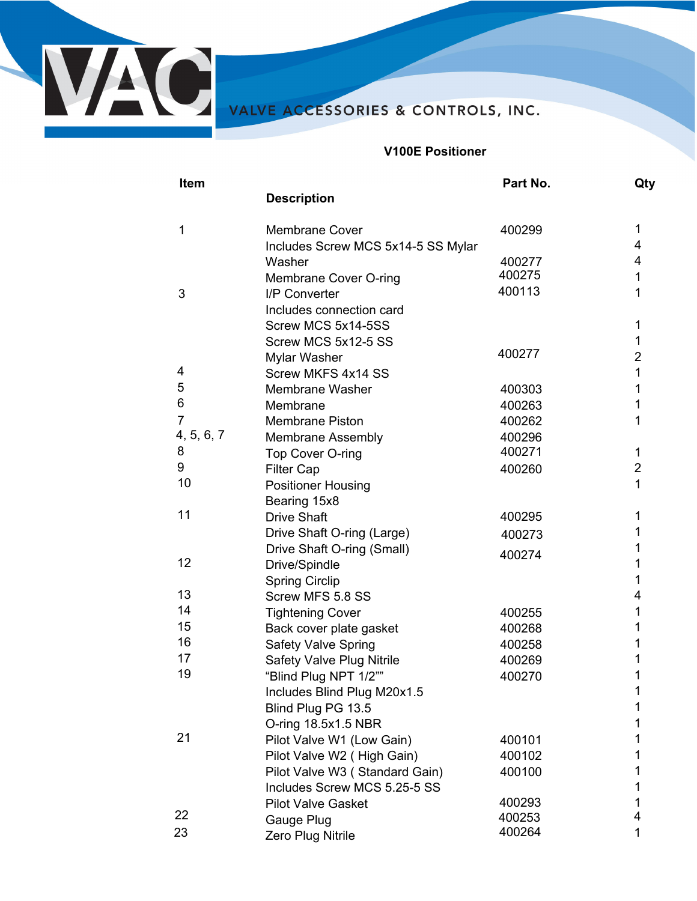

**V100E Positioner** 

| Item           |                                    | Part No. | Qty            |
|----------------|------------------------------------|----------|----------------|
|                | <b>Description</b>                 |          |                |
| 1              | <b>Membrane Cover</b>              | 400299   | 1              |
|                | Includes Screw MCS 5x14-5 SS Mylar |          | 4              |
|                | Washer                             | 400277   | 4              |
|                | Membrane Cover O-ring              | 400275   | 1              |
| 3              | I/P Converter                      | 400113   | 1              |
|                | Includes connection card           |          |                |
|                | Screw MCS 5x14-5SS                 |          | 1              |
|                | Screw MCS 5x12-5 SS                |          | 1              |
|                | Mylar Washer                       | 400277   | $\overline{2}$ |
| 4              | Screw MKFS 4x14 SS                 |          | 1              |
| 5              | Membrane Washer                    | 400303   | 1              |
| 6              | Membrane                           | 400263   | 1              |
| $\overline{7}$ | <b>Membrane Piston</b>             | 400262   | 1              |
| 4, 5, 6, 7     | <b>Membrane Assembly</b>           | 400296   |                |
| 8              | Top Cover O-ring                   | 400271   | 1              |
| 9              | <b>Filter Cap</b>                  | 400260   | $\overline{2}$ |
| 10             | <b>Positioner Housing</b>          |          | $\mathbf 1$    |
|                | Bearing 15x8                       |          |                |
| 11             | <b>Drive Shaft</b>                 | 400295   | 1              |
|                | Drive Shaft O-ring (Large)         | 400273   | 1              |
|                | Drive Shaft O-ring (Small)         | 400274   | 1              |
| 12             | Drive/Spindle                      |          | 1              |
|                | <b>Spring Circlip</b>              |          | 1              |
| 13             | Screw MFS 5.8 SS                   |          | 4              |
| 14             | <b>Tightening Cover</b>            | 400255   | 1              |
| 15             | Back cover plate gasket            | 400268   | 1              |
| 16             | <b>Safety Valve Spring</b>         | 400258   | 1              |
| 17             | <b>Safety Valve Plug Nitrile</b>   | 400269   | 1              |
| 19             | "Blind Plug NPT 1/2""              | 400270   | 1              |
|                | Includes Blind Plug M20x1.5        |          | 1              |
|                | Blind Plug PG 13.5                 |          | 1              |
|                | O-ring 18.5x1.5 NBR                |          | 1              |
| 21             | Pilot Valve W1 (Low Gain)          | 400101   | 1              |
|                | Pilot Valve W2 (High Gain)         | 400102   | 1              |
|                | Pilot Valve W3 (Standard Gain)     | 400100   | 1              |
|                | Includes Screw MCS 5.25-5 SS       |          | 1              |
|                | <b>Pilot Valve Gasket</b>          | 400293   | 1              |
| 22             | Gauge Plug                         | 400253   | 4              |
| 23             | Zero Plug Nitrile                  | 400264   | 1              |